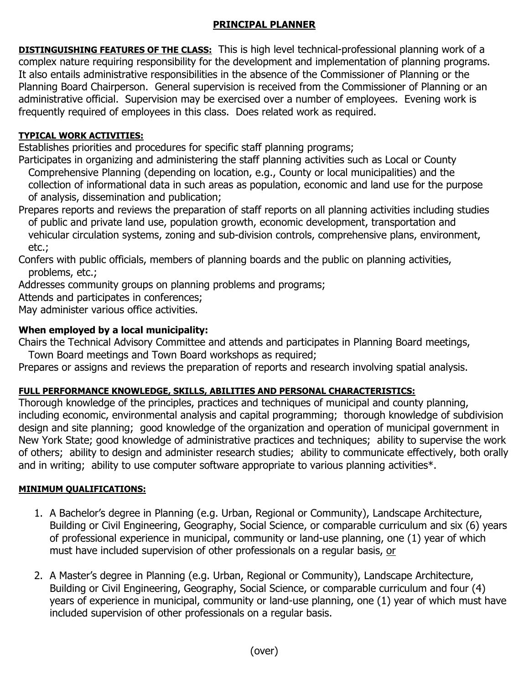#### **PRINCIPAL PLANNER**

**DISTINGUISHING FEATURES OF THE CLASS:** This is high level technical-professional planning work of a complex nature requiring responsibility for the development and implementation of planning programs. It also entails administrative responsibilities in the absence of the Commissioner of Planning or the Planning Board Chairperson. General supervision is received from the Commissioner of Planning or an administrative official. Supervision may be exercised over a number of employees. Evening work is frequently required of employees in this class. Does related work as required.

## **TYPICAL WORK ACTIVITIES:**

Establishes priorities and procedures for specific staff planning programs;

Participates in organizing and administering the staff planning activities such as Local or County Comprehensive Planning (depending on location, e.g., County or local municipalities) and the collection of informational data in such areas as population, economic and land use for the purpose of analysis, dissemination and publication;

Prepares reports and reviews the preparation of staff reports on all planning activities including studies of public and private land use, population growth, economic development, transportation and vehicular circulation systems, zoning and sub-division controls, comprehensive plans, environment, etc.;

Confers with public officials, members of planning boards and the public on planning activities, problems, etc.;

Addresses community groups on planning problems and programs;

Attends and participates in conferences;

May administer various office activities.

# **When employed by a local municipality:**

Chairs the Technical Advisory Committee and attends and participates in Planning Board meetings,

Town Board meetings and Town Board workshops as required;

Prepares or assigns and reviews the preparation of reports and research involving spatial analysis.

### **FULL PERFORMANCE KNOWLEDGE, SKILLS, ABILITIES AND PERSONAL CHARACTERISTICS:**

Thorough knowledge of the principles, practices and techniques of municipal and county planning, including economic, environmental analysis and capital programming; thorough knowledge of subdivision design and site planning; good knowledge of the organization and operation of municipal government in New York State; good knowledge of administrative practices and techniques; ability to supervise the work of others; ability to design and administer research studies; ability to communicate effectively, both orally and in writing; ability to use computer software appropriate to various planning activities\*.

### **MINIMUM QUALIFICATIONS:**

- 1. A Bachelor's degree in Planning (e.g. Urban, Regional or Community), Landscape Architecture, Building or Civil Engineering, Geography, Social Science, or comparable curriculum and six (6) years of professional experience in municipal, community or land-use planning, one (1) year of which must have included supervision of other professionals on a regular basis, or
- 2. A Master's degree in Planning (e.g. Urban, Regional or Community), Landscape Architecture, Building or Civil Engineering, Geography, Social Science, or comparable curriculum and four (4) years of experience in municipal, community or land-use planning, one (1) year of which must have included supervision of other professionals on a regular basis.